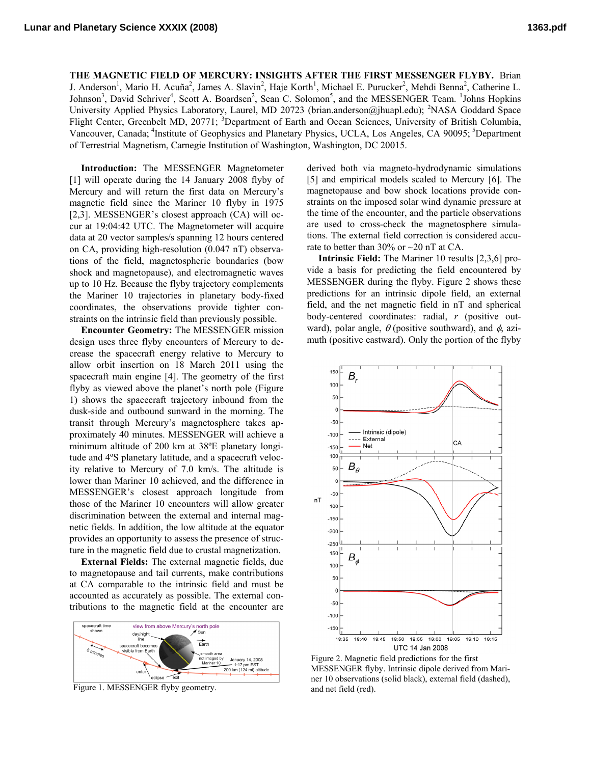**THE MAGNETIC FIELD OF MERCURY: INSIGHTS AFTER THE FIRST MESSENGER FLYBY.** Brian J. Anderson<sup>1</sup>, Mario H. Acuña<sup>2</sup>, James A. Slavin<sup>2</sup>, Haje Korth<sup>1</sup>, Michael E. Purucker<sup>2</sup>, Mehdi Benna<sup>2</sup>, Catherine L. Johnson<sup>3</sup>, David Schriver<sup>4</sup>, Scott A. Boardsen<sup>2</sup>, Sean C. Solomon<sup>5</sup>, and the MESSENGER Team. <sup>1</sup>Johns Hopkins University Applied Physics Laboratory, Laurel, MD 20723 (brian.anderson@jhuapl.edu); <sup>2</sup>NASA Goddard Space Flight Center, Greenbelt MD, 20771; <sup>3</sup>Department of Earth and Ocean Sciences, University of British Columbia, Vancouver, Canada; <sup>4</sup>Institute of Geophysics and Planetary Physics, UCLA, Los Angeles, CA 90095; <sup>5</sup>Department of Terrestrial Magnetism, Carnegie Institution of Washington, Washington, DC 20015.

**Introduction:** The MESSENGER Magnetometer [1] will operate during the 14 January 2008 flyby of Mercury and will return the first data on Mercury's magnetic field since the Mariner 10 flyby in 1975 [2,3]. MESSENGER's closest approach (CA) will occur at 19:04:42 UTC. The Magnetometer will acquire data at 20 vector samples/s spanning 12 hours centered on CA, providing high-resolution (0.047 nT) observations of the field, magnetospheric boundaries (bow shock and magnetopause), and electromagnetic waves up to 10 Hz. Because the flyby trajectory complements the Mariner 10 trajectories in planetary body-fixed coordinates, the observations provide tighter constraints on the intrinsic field than previously possible.

**Encounter Geometry:** The MESSENGER mission design uses three flyby encounters of Mercury to decrease the spacecraft energy relative to Mercury to allow orbit insertion on 18 March 2011 using the spacecraft main engine [4]. The geometry of the first flyby as viewed above the planet's north pole (Figure 1) shows the spacecraft trajectory inbound from the dusk-side and outbound sunward in the morning. The transit through Mercury's magnetosphere takes approximately 40 minutes. MESSENGER will achieve a minimum altitude of 200 km at 38ºE planetary longitude and 4ºS planetary latitude, and a spacecraft velocity relative to Mercury of 7.0 km/s. The altitude is lower than Mariner 10 achieved, and the difference in MESSENGER's closest approach longitude from those of the Mariner 10 encounters will allow greater discrimination between the external and internal magnetic fields. In addition, the low altitude at the equator provides an opportunity to assess the presence of structure in the magnetic field due to crustal magnetization.

**External Fields:** The external magnetic fields, due to magnetopause and tail currents, make contributions at CA comparable to the intrinsic field and must be accounted as accurately as possible. The external contributions to the magnetic field at the encounter are



Figure 1. MESSENGER flyby geometry.

derived both via magneto-hydrodynamic simulations [5] and empirical models scaled to Mercury [6]. The magnetopause and bow shock locations provide constraints on the imposed solar wind dynamic pressure at the time of the encounter, and the particle observations are used to cross-check the magnetosphere simulations. The external field correction is considered accurate to better than  $30\%$  or  $\sim$  20 nT at CA.

**Intrinsic Field:** The Mariner 10 results [2,3,6] provide a basis for predicting the field encountered by MESSENGER during the flyby. Figure 2 shows these predictions for an intrinsic dipole field, an external field, and the net magnetic field in nT and spherical body-centered coordinates: radial, *r* (positive outward), polar angle,  $\theta$  (positive southward), and  $\phi$ , azimuth (positive eastward). Only the portion of the flyby



Figure 2. Magnetic field predictions for the first MESSENGER flyby. Intrinsic dipole derived from Mariner 10 observations (solid black), external field (dashed), and net field (red).